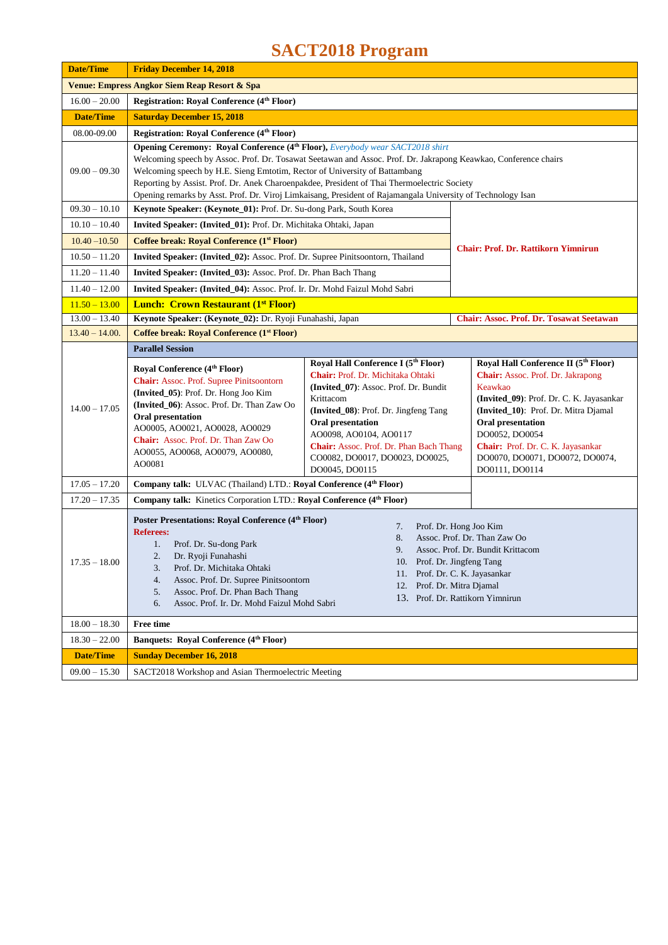## **SACT2018 Program**

| <b>Date/Time</b>                                        | <b>Friday December 14, 2018</b>                                                                                                                                                                                                                                                                                                                                                                                                                                                              |                                                                                                                                                                                                                                                                                                                               |                                                                                                                                                                                                                                                                                                                  |
|---------------------------------------------------------|----------------------------------------------------------------------------------------------------------------------------------------------------------------------------------------------------------------------------------------------------------------------------------------------------------------------------------------------------------------------------------------------------------------------------------------------------------------------------------------------|-------------------------------------------------------------------------------------------------------------------------------------------------------------------------------------------------------------------------------------------------------------------------------------------------------------------------------|------------------------------------------------------------------------------------------------------------------------------------------------------------------------------------------------------------------------------------------------------------------------------------------------------------------|
| <b>Venue: Empress Angkor Siem Reap Resort &amp; Spa</b> |                                                                                                                                                                                                                                                                                                                                                                                                                                                                                              |                                                                                                                                                                                                                                                                                                                               |                                                                                                                                                                                                                                                                                                                  |
| $16.00 - 20.00$                                         | <b>Registration: Royal Conference (4th Floor)</b>                                                                                                                                                                                                                                                                                                                                                                                                                                            |                                                                                                                                                                                                                                                                                                                               |                                                                                                                                                                                                                                                                                                                  |
| <b>Date/Time</b>                                        | <b>Saturday December 15, 2018</b>                                                                                                                                                                                                                                                                                                                                                                                                                                                            |                                                                                                                                                                                                                                                                                                                               |                                                                                                                                                                                                                                                                                                                  |
| 08.00-09.00                                             | Registration: Royal Conference (4th Floor)                                                                                                                                                                                                                                                                                                                                                                                                                                                   |                                                                                                                                                                                                                                                                                                                               |                                                                                                                                                                                                                                                                                                                  |
| $09.00 - 09.30$                                         | Opening Ceremony: Royal Conference (4th Floor), Everybody wear SACT2018 shirt<br>Welcoming speech by Assoc. Prof. Dr. Tosawat Seetawan and Assoc. Prof. Dr. Jakrapong Keawkao, Conference chairs<br>Welcoming speech by H.E. Sieng Emtotim, Rector of University of Battambang<br>Reporting by Assist. Prof. Dr. Anek Charoenpakdee, President of Thai Thermoelectric Society<br>Opening remarks by Asst. Prof. Dr. Viroj Limkaisang, President of Rajamangala University of Technology Isan |                                                                                                                                                                                                                                                                                                                               |                                                                                                                                                                                                                                                                                                                  |
| $09.30 - 10.10$                                         | Keynote Speaker: (Keynote 01): Prof. Dr. Su-dong Park, South Korea                                                                                                                                                                                                                                                                                                                                                                                                                           |                                                                                                                                                                                                                                                                                                                               |                                                                                                                                                                                                                                                                                                                  |
| $10.10 - 10.40$                                         | Invited Speaker: (Invited 01): Prof. Dr. Michitaka Ohtaki, Japan                                                                                                                                                                                                                                                                                                                                                                                                                             |                                                                                                                                                                                                                                                                                                                               |                                                                                                                                                                                                                                                                                                                  |
| $10.40 - 10.50$                                         | Coffee break: Royal Conference (1 <sup>st</sup> Floor)                                                                                                                                                                                                                                                                                                                                                                                                                                       |                                                                                                                                                                                                                                                                                                                               |                                                                                                                                                                                                                                                                                                                  |
| $10.50 - 11.20$                                         | Invited Speaker: (Invited_02): Assoc. Prof. Dr. Supree Pinitsoontorn, Thailand                                                                                                                                                                                                                                                                                                                                                                                                               |                                                                                                                                                                                                                                                                                                                               | <b>Chair: Prof. Dr. Rattikorn Yimnirun</b>                                                                                                                                                                                                                                                                       |
| $11.20 - 11.40$                                         | Invited Speaker: (Invited_03): Assoc. Prof. Dr. Phan Bach Thang                                                                                                                                                                                                                                                                                                                                                                                                                              |                                                                                                                                                                                                                                                                                                                               |                                                                                                                                                                                                                                                                                                                  |
| $11.40 - 12.00$                                         | Invited Speaker: (Invited_04): Assoc. Prof. Ir. Dr. Mohd Faizul Mohd Sabri                                                                                                                                                                                                                                                                                                                                                                                                                   |                                                                                                                                                                                                                                                                                                                               |                                                                                                                                                                                                                                                                                                                  |
| $11.50 - 13.00$                                         | <b>Lunch: Crown Restaurant (1st Floor)</b>                                                                                                                                                                                                                                                                                                                                                                                                                                                   |                                                                                                                                                                                                                                                                                                                               |                                                                                                                                                                                                                                                                                                                  |
| $13.00 - 13.40$                                         | Keynote Speaker: (Keynote_02): Dr. Ryoji Funahashi, Japan                                                                                                                                                                                                                                                                                                                                                                                                                                    |                                                                                                                                                                                                                                                                                                                               | <b>Chair: Assoc. Prof. Dr. Tosawat Seetawan</b>                                                                                                                                                                                                                                                                  |
| $13.40 - 14.00.$                                        | Coffee break: Royal Conference (1 <sup>st</sup> Floor)                                                                                                                                                                                                                                                                                                                                                                                                                                       |                                                                                                                                                                                                                                                                                                                               |                                                                                                                                                                                                                                                                                                                  |
| $14.00 - 17.05$                                         | <b>Parallel Session</b><br>Royal Conference (4 <sup>th</sup> Floor)<br>Chair: Assoc. Prof. Supree Pinitsoontorn<br>(Invited_05): Prof. Dr. Hong Joo Kim<br>(Invited_06): Assoc. Prof. Dr. Than Zaw Oo<br><b>Oral presentation</b><br>AO0005, AO0021, AO0028, AO0029<br>Chair: Assoc. Prof. Dr. Than Zaw Oo<br>AO0055, AO0068, AO0079, AO0080,<br>AO0081                                                                                                                                      | Royal Hall Conference I (5th Floor)<br>Chair: Prof. Dr. Michitaka Ohtaki<br>(Invited 07): Assoc. Prof. Dr. Bundit<br>Krittacom<br>(Invited_08): Prof. Dr. Jingfeng Tang<br>Oral presentation<br>AO0098, AO0104, AO0117<br><b>Chair:</b> Assoc. Prof. Dr. Phan Bach Thang<br>CO0082, DO0017, DO0023, DO0025,<br>DO0045, DO0115 | Royal Hall Conference II (5th Floor)<br>Chair: Assoc. Prof. Dr. Jakrapong<br>Keawkao<br>(Invited_09): Prof. Dr. C. K. Jayasankar<br>(Invited_10): Prof. Dr. Mitra Djamal<br><b>Oral presentation</b><br>DO0052, DO0054<br>Chair: Prof. Dr. C. K. Jayasankar<br>DO0070, DO0071, DO0072, DO0074,<br>DO0111, DO0114 |
| $17.05 - 17.20$                                         | Company talk: ULVAC (Thailand) LTD.: Royal Conference (4th Floor)                                                                                                                                                                                                                                                                                                                                                                                                                            |                                                                                                                                                                                                                                                                                                                               |                                                                                                                                                                                                                                                                                                                  |
| $17.20 - 17.35$                                         | Company talk: Kinetics Corporation LTD.: Royal Conference (4th Floor)                                                                                                                                                                                                                                                                                                                                                                                                                        |                                                                                                                                                                                                                                                                                                                               |                                                                                                                                                                                                                                                                                                                  |
| $17.35 - 18.00$                                         | Poster Presentations: Royal Conference (4 <sup>th</sup> Floor)<br><b>Referees:</b><br>1.<br>Prof. Dr. Su-dong Park<br>Dr. Ryoji Funahashi<br>2.<br>3.<br>Prof. Dr. Michitaka Ohtaki<br>Assoc. Prof. Dr. Supree Pinitsoontorn<br>4.<br>Assoc. Prof. Dr. Phan Bach Thang<br>5.<br>Assoc. Prof. Ir. Dr. Mohd Faizul Mohd Sabri<br>6.                                                                                                                                                            | 7.<br>8.<br>9.<br>10. Prof. Dr. Jingfeng Tang<br>12.                                                                                                                                                                                                                                                                          | Prof. Dr. Hong Joo Kim<br>Assoc. Prof. Dr. Than Zaw Oo<br>Assoc. Prof. Dr. Bundit Krittacom<br>11. Prof. Dr. C. K. Jayasankar<br>Prof. Dr. Mitra Djamal<br>13. Prof. Dr. Rattikorn Yimnirun                                                                                                                      |
| $18.00 - 18.30$                                         | Free time                                                                                                                                                                                                                                                                                                                                                                                                                                                                                    |                                                                                                                                                                                                                                                                                                                               |                                                                                                                                                                                                                                                                                                                  |
| $18.30 - 22.00$                                         | <b>Banquets: Royal Conference (4th Floor)</b>                                                                                                                                                                                                                                                                                                                                                                                                                                                |                                                                                                                                                                                                                                                                                                                               |                                                                                                                                                                                                                                                                                                                  |
| <b>Date/Time</b>                                        | <b>Sunday December 16, 2018</b>                                                                                                                                                                                                                                                                                                                                                                                                                                                              |                                                                                                                                                                                                                                                                                                                               |                                                                                                                                                                                                                                                                                                                  |
| $09.00 - 15.30$                                         | SACT2018 Workshop and Asian Thermoelectric Meeting                                                                                                                                                                                                                                                                                                                                                                                                                                           |                                                                                                                                                                                                                                                                                                                               |                                                                                                                                                                                                                                                                                                                  |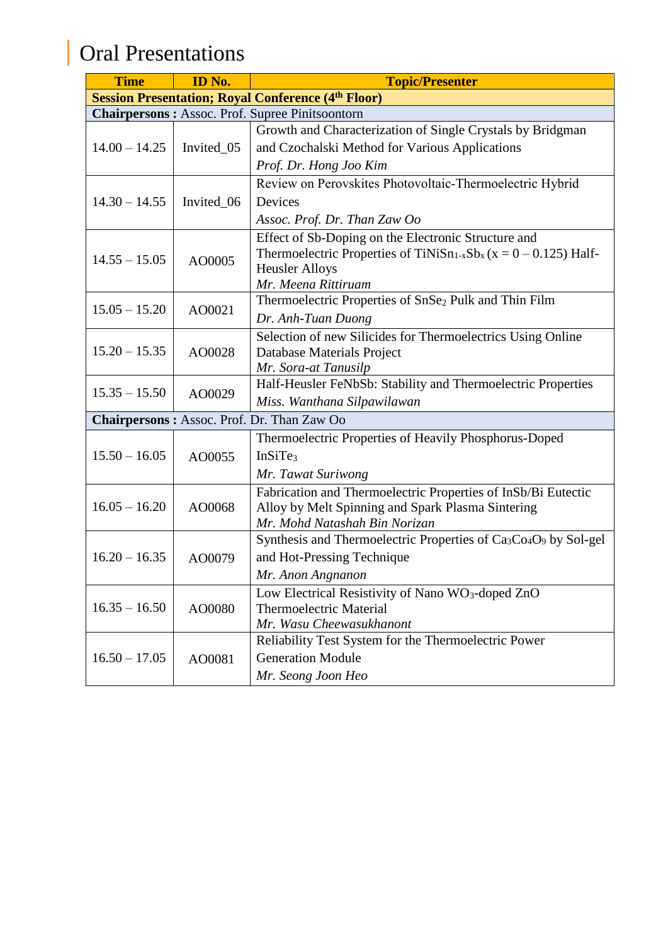## Oral Presentations

| <b>Time</b>     | ID No.     | <b>Topic/Presenter</b>                                                                               |
|-----------------|------------|------------------------------------------------------------------------------------------------------|
|                 |            | <b>Session Presentation; Royal Conference (4th Floor)</b>                                            |
|                 |            | <b>Chairpersons: Assoc. Prof. Supree Pinitsoontorn</b>                                               |
|                 |            | Growth and Characterization of Single Crystals by Bridgman                                           |
| $14.00 - 14.25$ | Invited_05 | and Czochalski Method for Various Applications                                                       |
|                 |            | Prof. Dr. Hong Joo Kim                                                                               |
|                 |            | Review on Perovskites Photovoltaic-Thermoelectric Hybrid                                             |
| $14.30 - 14.55$ | Invited_06 | Devices                                                                                              |
|                 |            | Assoc. Prof. Dr. Than Zaw Oo                                                                         |
|                 |            | Effect of Sb-Doping on the Electronic Structure and                                                  |
| $14.55 - 15.05$ | AO0005     | Thermoelectric Properties of TiNiSn <sub>1-x</sub> Sb <sub>x</sub> ( $x = 0 - 0.125$ ) Half-         |
|                 |            | <b>Heusler Alloys</b>                                                                                |
|                 |            | Mr. Meena Rittiruam                                                                                  |
| $15.05 - 15.20$ | AO0021     | Thermoelectric Properties of SnSe <sub>2</sub> Pulk and Thin Film                                    |
|                 |            | Dr. Anh-Tuan Duong                                                                                   |
|                 |            | Selection of new Silicides for Thermoelectrics Using Online                                          |
| $15.20 - 15.35$ | AO0028     | Database Materials Project                                                                           |
|                 |            | Mr. Sora-at Tanusilp                                                                                 |
| $15.35 - 15.50$ | AO0029     | Half-Heusler FeNbSb: Stability and Thermoelectric Properties                                         |
|                 |            | Miss. Wanthana Silpawilawan                                                                          |
|                 |            | Chairpersons: Assoc. Prof. Dr. Than Zaw Oo                                                           |
|                 |            | Thermoelectric Properties of Heavily Phosphorus-Doped                                                |
| $15.50 - 16.05$ | AO0055     | InSiTe <sub>3</sub>                                                                                  |
|                 |            | Mr. Tawat Suriwong                                                                                   |
|                 |            | Fabrication and Thermoelectric Properties of InSb/Bi Eutectic                                        |
| $16.05 - 16.20$ | AO0068     | Alloy by Melt Spinning and Spark Plasma Sintering                                                    |
|                 |            | Mr. Mohd Natashah Bin Norizan                                                                        |
|                 |            | Synthesis and Thermoelectric Properties of Ca <sub>3</sub> Co <sub>4</sub> O <sub>9</sub> by Sol-gel |
| $16.20 - 16.35$ | AO0079     | and Hot-Pressing Technique                                                                           |
|                 |            | Mr. Anon Angnanon                                                                                    |
|                 |            | Low Electrical Resistivity of Nano WO <sub>3</sub> -doped ZnO                                        |
| $16.35 - 16.50$ | AO0080     | <b>Thermoelectric Material</b>                                                                       |
|                 |            | Mr. Wasu Cheewasukhanont                                                                             |
|                 |            | Reliability Test System for the Thermoelectric Power                                                 |
| $16.50 - 17.05$ | AO0081     | <b>Generation Module</b>                                                                             |
|                 |            | Mr. Seong Joon Heo                                                                                   |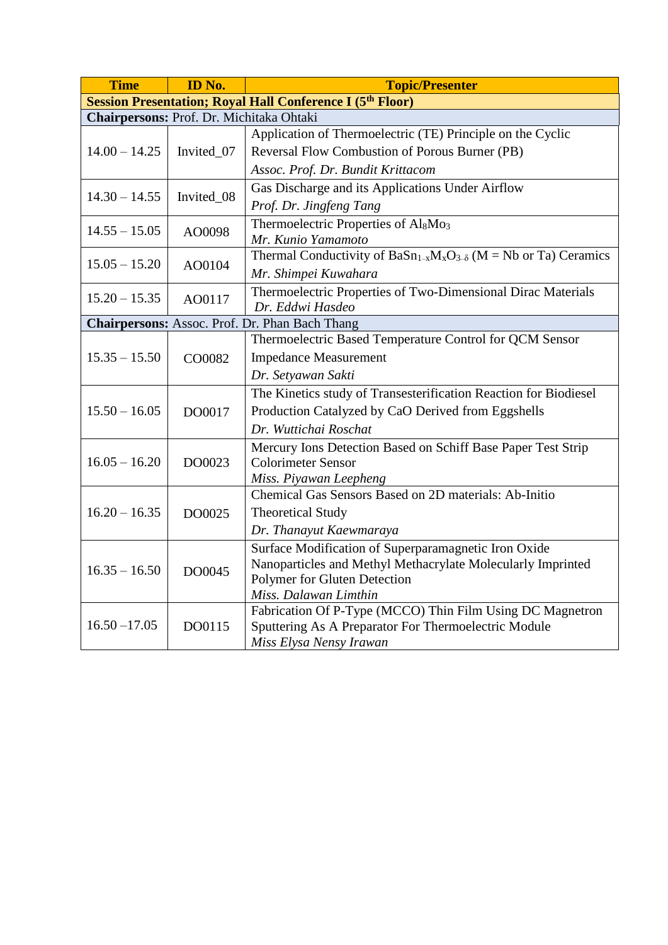| <b>Time</b>                                                      | ID No.     | <b>Topic/Presenter</b>                                                      |  |
|------------------------------------------------------------------|------------|-----------------------------------------------------------------------------|--|
| <b>Session Presentation; Royal Hall Conference I (5th Floor)</b> |            |                                                                             |  |
| Chairpersons: Prof. Dr. Michitaka Ohtaki                         |            |                                                                             |  |
|                                                                  |            | Application of Thermoelectric (TE) Principle on the Cyclic                  |  |
| $14.00 - 14.25$                                                  | Invited_07 | Reversal Flow Combustion of Porous Burner (PB)                              |  |
|                                                                  |            | Assoc. Prof. Dr. Bundit Krittacom                                           |  |
| $14.30 - 14.55$                                                  |            | Gas Discharge and its Applications Under Airflow                            |  |
|                                                                  | Invited_08 | Prof. Dr. Jingfeng Tang                                                     |  |
| $14.55 - 15.05$                                                  | AO0098     | Thermoelectric Properties of Al <sub>8</sub> Mo <sub>3</sub>                |  |
|                                                                  |            | Mr. Kunio Yamamoto                                                          |  |
| $15.05 - 15.20$                                                  |            | Thermal Conductivity of $BaSn_{1-x}M_xO_{3-\delta}$ (M = Nb or Ta) Ceramics |  |
|                                                                  | AO0104     | Mr. Shimpei Kuwahara                                                        |  |
| $15.20 - 15.35$                                                  | AO0117     | Thermoelectric Properties of Two-Dimensional Dirac Materials                |  |
|                                                                  |            | Dr. Eddwi Hasdeo                                                            |  |
|                                                                  |            | <b>Chairpersons:</b> Assoc. Prof. Dr. Phan Bach Thang                       |  |
|                                                                  |            | Thermoelectric Based Temperature Control for QCM Sensor                     |  |
| $15.35 - 15.50$                                                  | CO0082     | <b>Impedance Measurement</b>                                                |  |
|                                                                  |            | Dr. Setyawan Sakti                                                          |  |
|                                                                  |            | The Kinetics study of Transesterification Reaction for Biodiesel            |  |
| $15.50 - 16.05$                                                  | DO0017     | Production Catalyzed by CaO Derived from Eggshells                          |  |
|                                                                  |            | Dr. Wuttichai Roschat                                                       |  |
|                                                                  |            | Mercury Ions Detection Based on Schiff Base Paper Test Strip                |  |
| $16.05 - 16.20$                                                  | DO0023     | <b>Colorimeter Sensor</b>                                                   |  |
|                                                                  |            | Miss. Piyawan Leepheng                                                      |  |
|                                                                  |            | Chemical Gas Sensors Based on 2D materials: Ab-Initio                       |  |
| $16.20 - 16.35$                                                  | DO0025     | <b>Theoretical Study</b>                                                    |  |
|                                                                  |            | Dr. Thanayut Kaewmaraya                                                     |  |
|                                                                  |            | Surface Modification of Superparamagnetic Iron Oxide                        |  |
| $16.35 - 16.50$                                                  | DO0045     | Nanoparticles and Methyl Methacrylate Molecularly Imprinted                 |  |
|                                                                  |            | Polymer for Gluten Detection                                                |  |
|                                                                  |            | Miss. Dalawan Limthin                                                       |  |
|                                                                  |            | Fabrication Of P-Type (MCCO) Thin Film Using DC Magnetron                   |  |
| $16.50 - 17.05$                                                  | DO0115     | Sputtering As A Preparator For Thermoelectric Module                        |  |
|                                                                  |            | Miss Elysa Nensy Irawan                                                     |  |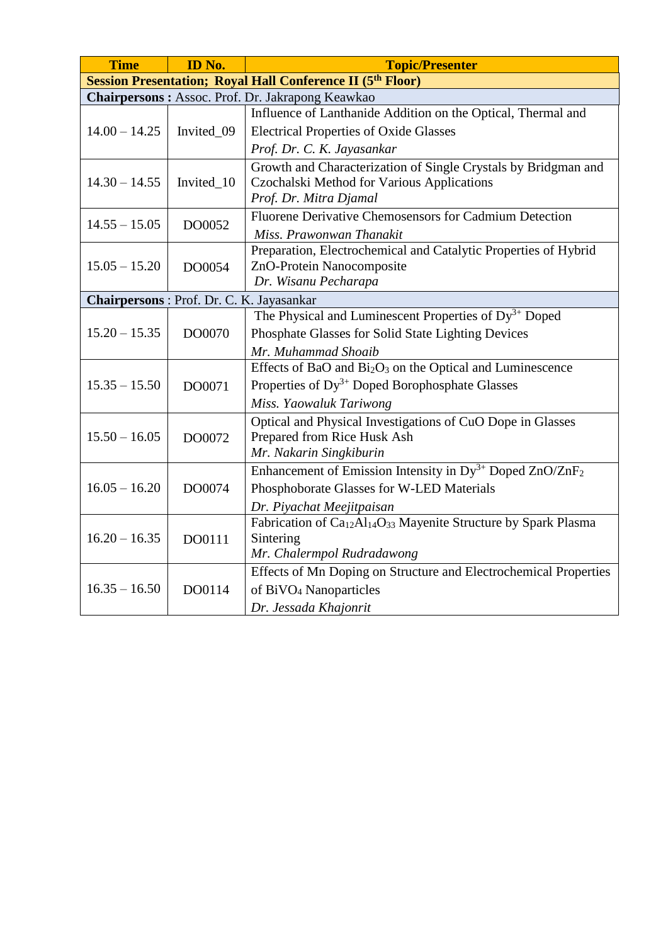| <b>Time</b>                                                       | ID No.     | <b>Topic/Presenter</b>                                                                              |  |
|-------------------------------------------------------------------|------------|-----------------------------------------------------------------------------------------------------|--|
| <b>Session Presentation; Royal Hall Conference II (5th Floor)</b> |            |                                                                                                     |  |
|                                                                   |            | Chairpersons: Assoc. Prof. Dr. Jakrapong Keawkao                                                    |  |
|                                                                   |            | Influence of Lanthanide Addition on the Optical, Thermal and                                        |  |
| $14.00 - 14.25$                                                   | Invited_09 | <b>Electrical Properties of Oxide Glasses</b>                                                       |  |
|                                                                   |            | Prof. Dr. C. K. Jayasankar                                                                          |  |
|                                                                   |            | Growth and Characterization of Single Crystals by Bridgman and                                      |  |
| $14.30 - 14.55$                                                   | Invited_10 | Czochalski Method for Various Applications                                                          |  |
|                                                                   |            | Prof. Dr. Mitra Djamal                                                                              |  |
| $14.55 - 15.05$                                                   | DO0052     | Fluorene Derivative Chemosensors for Cadmium Detection                                              |  |
|                                                                   |            | Miss. Prawonwan Thanakit                                                                            |  |
|                                                                   |            | Preparation, Electrochemical and Catalytic Properties of Hybrid                                     |  |
| $15.05 - 15.20$                                                   | DO0054     | ZnO-Protein Nanocomposite                                                                           |  |
|                                                                   |            | Dr. Wisanu Pecharapa                                                                                |  |
| Chairpersons : Prof. Dr. C. K. Jayasankar                         |            |                                                                                                     |  |
|                                                                   |            | The Physical and Luminescent Properties of $Dy^{3+}$ Doped                                          |  |
| $15.20 - 15.35$                                                   | DO0070     | Phosphate Glasses for Solid State Lighting Devices                                                  |  |
|                                                                   |            | Mr. Muhammad Shoaib                                                                                 |  |
|                                                                   |            | Effects of BaO and Bi <sub>2</sub> O <sub>3</sub> on the Optical and Luminescence                   |  |
| $15.35 - 15.50$                                                   | DO0071     | Properties of Dy <sup>3+</sup> Doped Borophosphate Glasses                                          |  |
|                                                                   |            | Miss. Yaowaluk Tariwong                                                                             |  |
|                                                                   |            | Optical and Physical Investigations of CuO Dope in Glasses                                          |  |
| $15.50 - 16.05$                                                   | DO0072     | Prepared from Rice Husk Ash                                                                         |  |
|                                                                   |            | Mr. Nakarin Singkiburin                                                                             |  |
|                                                                   |            | Enhancement of Emission Intensity in $Dy^{3+}$ Doped ZnO/ZnF <sub>2</sub>                           |  |
| $16.05 - 16.20$                                                   | DO0074     | Phosphoborate Glasses for W-LED Materials                                                           |  |
|                                                                   |            | Dr. Piyachat Meejitpaisan                                                                           |  |
|                                                                   |            | Fabrication of Ca <sub>12</sub> Al <sub>14</sub> O <sub>33</sub> Mayenite Structure by Spark Plasma |  |
| $16.20 - 16.35$                                                   | DO0111     | Sintering                                                                                           |  |
|                                                                   |            | Mr. Chalermpol Rudradawong                                                                          |  |
|                                                                   |            | Effects of Mn Doping on Structure and Electrochemical Properties                                    |  |
| $16.35 - 16.50$                                                   | DO0114     | of BiVO <sub>4</sub> Nanoparticles                                                                  |  |
|                                                                   |            | Dr. Jessada Khajonrit                                                                               |  |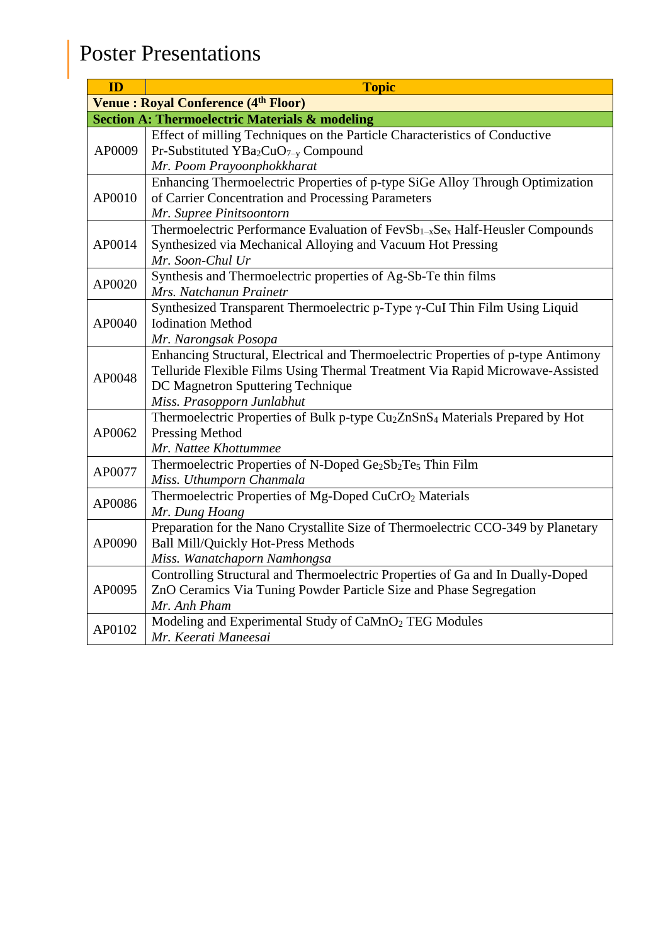## Poster Presentations

| ID     | <b>Topic</b>                                                                                                                                                        |
|--------|---------------------------------------------------------------------------------------------------------------------------------------------------------------------|
|        | <b>Venue: Royal Conference (4th Floor)</b>                                                                                                                          |
|        | <b>Section A: Thermoelectric Materials &amp; modeling</b>                                                                                                           |
| AP0009 | Effect of milling Techniques on the Particle Characteristics of Conductive                                                                                          |
|        | Pr-Substituted YBa <sub>2</sub> CuO <sub>7-y</sub> Compound                                                                                                         |
|        | Mr. Poom Prayoonphokkharat                                                                                                                                          |
|        | Enhancing Thermoelectric Properties of p-type SiGe Alloy Through Optimization                                                                                       |
| AP0010 | of Carrier Concentration and Processing Parameters                                                                                                                  |
|        | Mr. Supree Pinitsoontorn                                                                                                                                            |
| AP0014 | Thermoelectric Performance Evaluation of FevSb <sub>1-x</sub> Se <sub>x</sub> Half-Heusler Compounds<br>Synthesized via Mechanical Alloying and Vacuum Hot Pressing |
|        | Mr. Soon-Chul Ur                                                                                                                                                    |
|        | Synthesis and Thermoelectric properties of Ag-Sb-Te thin films                                                                                                      |
| AP0020 | Mrs. Natchanun Prainetr                                                                                                                                             |
|        | Synthesized Transparent Thermoelectric p-Type γ-CuI Thin Film Using Liquid                                                                                          |
| AP0040 | <b>Iodination Method</b>                                                                                                                                            |
|        | Mr. Narongsak Posopa                                                                                                                                                |
|        | Enhancing Structural, Electrical and Thermoelectric Properties of p-type Antimony                                                                                   |
| AP0048 | Telluride Flexible Films Using Thermal Treatment Via Rapid Microwave-Assisted                                                                                       |
|        | DC Magnetron Sputtering Technique                                                                                                                                   |
|        | Miss. Prasopporn Junlabhut                                                                                                                                          |
|        | Thermoelectric Properties of Bulk p-type Cu <sub>2</sub> ZnSnS <sub>4</sub> Materials Prepared by Hot                                                               |
| AP0062 | <b>Pressing Method</b><br>Mr. Nattee Khottummee                                                                                                                     |
|        | Thermoelectric Properties of N-Doped Ge <sub>2</sub> Sb <sub>2</sub> Te <sub>5</sub> Thin Film                                                                      |
| AP0077 | Miss. Uthumporn Chanmala                                                                                                                                            |
|        | Thermoelectric Properties of Mg-Doped CuCrO <sub>2</sub> Materials                                                                                                  |
| AP0086 | Mr. Dung Hoang                                                                                                                                                      |
|        | Preparation for the Nano Crystallite Size of Thermoelectric CCO-349 by Planetary                                                                                    |
| AP0090 | <b>Ball Mill/Quickly Hot-Press Methods</b>                                                                                                                          |
|        | Miss. Wanatchaporn Namhongsa                                                                                                                                        |
| AP0095 | Controlling Structural and Thermoelectric Properties of Ga and In Dually-Doped                                                                                      |
|        | ZnO Ceramics Via Tuning Powder Particle Size and Phase Segregation                                                                                                  |
|        | Mr. Anh Pham                                                                                                                                                        |
| AP0102 | Modeling and Experimental Study of CaMnO <sub>2</sub> TEG Modules                                                                                                   |
|        | Mr. Keerati Maneesai                                                                                                                                                |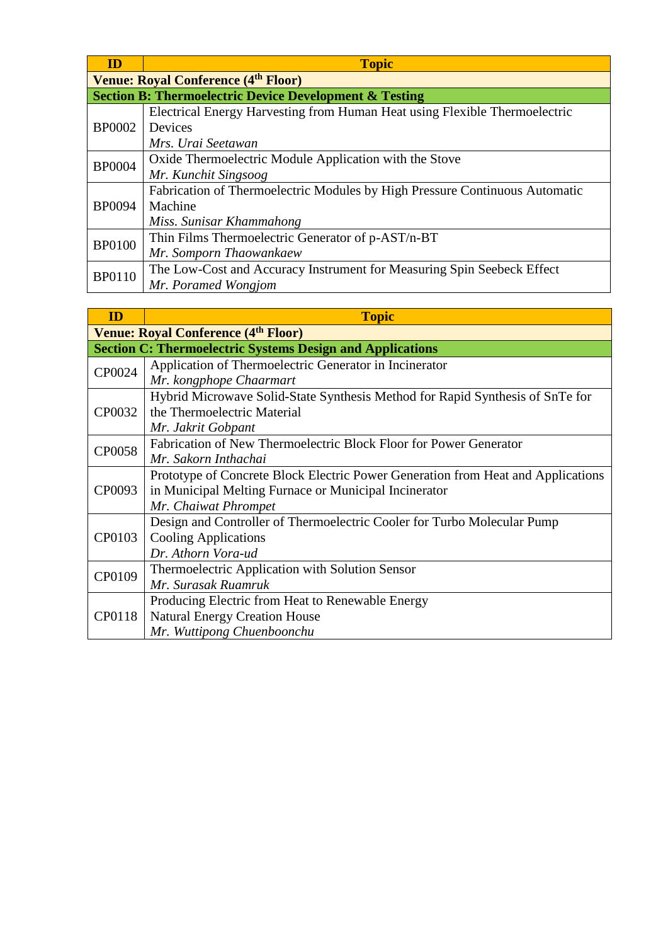| ID            | <b>Topic</b>                                                                |  |  |
|---------------|-----------------------------------------------------------------------------|--|--|
|               | <b>Venue: Royal Conference (4th Floor)</b>                                  |  |  |
|               | <b>Section B: Thermoelectric Device Development &amp; Testing</b>           |  |  |
|               | Electrical Energy Harvesting from Human Heat using Flexible Thermoelectric  |  |  |
| <b>BP0002</b> | Devices                                                                     |  |  |
|               | Mrs. Urai Seetawan                                                          |  |  |
| <b>BP0004</b> | Oxide Thermoelectric Module Application with the Stove                      |  |  |
|               | Mr. Kunchit Singsoog                                                        |  |  |
|               | Fabrication of Thermoelectric Modules by High Pressure Continuous Automatic |  |  |
| <b>BP0094</b> | Machine                                                                     |  |  |
|               | Miss. Sunisar Khammahong                                                    |  |  |
| <b>BP0100</b> | Thin Films Thermoelectric Generator of p-AST/n-BT                           |  |  |
|               | Mr. Somporn Thaowankaew                                                     |  |  |
| <b>BP0110</b> | The Low-Cost and Accuracy Instrument for Measuring Spin Seebeck Effect      |  |  |
|               | Mr. Poramed Wongjom                                                         |  |  |

| ID                                         | <b>Topic</b>                                                                     |  |
|--------------------------------------------|----------------------------------------------------------------------------------|--|
| <b>Venue: Royal Conference (4th Floor)</b> |                                                                                  |  |
|                                            | <b>Section C: Thermoelectric Systems Design and Applications</b>                 |  |
| CP0024                                     | Application of Thermoelectric Generator in Incinerator                           |  |
|                                            | Mr. kongphope Chaarmart                                                          |  |
|                                            | Hybrid Microwave Solid-State Synthesis Method for Rapid Synthesis of SnTe for    |  |
| CP0032                                     | the Thermoelectric Material                                                      |  |
|                                            | Mr. Jakrit Gobpant                                                               |  |
| <b>CP0058</b>                              | Fabrication of New Thermoelectric Block Floor for Power Generator                |  |
|                                            | Mr. Sakorn Inthachai                                                             |  |
|                                            | Prototype of Concrete Block Electric Power Generation from Heat and Applications |  |
| CP0093                                     | in Municipal Melting Furnace or Municipal Incinerator                            |  |
|                                            | Mr. Chaiwat Phrompet                                                             |  |
|                                            | Design and Controller of Thermoelectric Cooler for Turbo Molecular Pump          |  |
| CP0103                                     | <b>Cooling Applications</b>                                                      |  |
|                                            | Dr. Athorn Vora-ud                                                               |  |
| CP0109                                     | Thermoelectric Application with Solution Sensor                                  |  |
|                                            | Mr. Surasak Ruamruk                                                              |  |
| CP0118                                     | Producing Electric from Heat to Renewable Energy                                 |  |
|                                            | <b>Natural Energy Creation House</b>                                             |  |
|                                            | Mr. Wuttipong Chuenboonchu                                                       |  |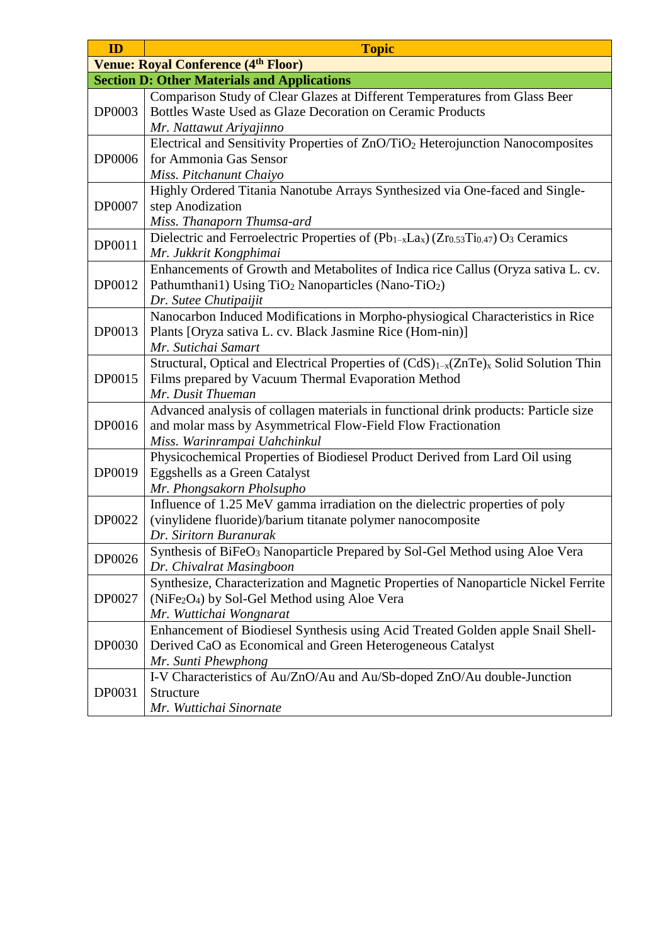| ID            | <b>Topic</b>                                                                                                                                                                              |
|---------------|-------------------------------------------------------------------------------------------------------------------------------------------------------------------------------------------|
|               | <b>Venue: Royal Conference (4th Floor)</b>                                                                                                                                                |
|               | <b>Section D: Other Materials and Applications</b>                                                                                                                                        |
| <b>DP0003</b> | Comparison Study of Clear Glazes at Different Temperatures from Glass Beer<br>Bottles Waste Used as Glaze Decoration on Ceramic Products<br>Mr. Nattawut Ariyajinno                       |
| <b>DP0006</b> | Electrical and Sensitivity Properties of ZnO/TiO <sub>2</sub> Heterojunction Nanocomposites<br>for Ammonia Gas Sensor<br>Miss. Pitchanunt Chaiyo                                          |
| DP0007        | Highly Ordered Titania Nanotube Arrays Synthesized via One-faced and Single-<br>step Anodization<br>Miss. Thanaporn Thumsa-ard                                                            |
| DP0011        | Dielectric and Ferroelectric Properties of $(Pb_{1-x}La_x)(Zr_{0.53}Ti_{0.47})O_3$ Ceramics<br>Mr. Jukkrit Kongphimai                                                                     |
| DP0012        | Enhancements of Growth and Metabolites of Indica rice Callus (Oryza sativa L. cv.<br>Pathumthani1) Using TiO <sub>2</sub> Nanoparticles (Nano-TiO <sub>2</sub> )<br>Dr. Sutee Chutipaijit |
| DP0013        | Nanocarbon Induced Modifications in Morpho-physiogical Characteristics in Rice<br>Plants [Oryza sativa L. cv. Black Jasmine Rice (Hom-nin)]<br>Mr. Sutichai Samart                        |
| DP0015        | Structural, Optical and Electrical Properties of (CdS) <sub>1-x</sub> (ZnTe) <sub>x</sub> Solid Solution Thin<br>Films prepared by Vacuum Thermal Evaporation Method<br>Mr. Dusit Thueman |
| DP0016        | Advanced analysis of collagen materials in functional drink products: Particle size<br>and molar mass by Asymmetrical Flow-Field Flow Fractionation<br>Miss. Warinrampai Uahchinkul       |
| DP0019        | Physicochemical Properties of Biodiesel Product Derived from Lard Oil using<br>Eggshells as a Green Catalyst<br>Mr. Phongsakorn Pholsupho                                                 |
| DP0022        | Influence of 1.25 MeV gamma irradiation on the dielectric properties of poly<br>(vinylidene fluoride)/barium titanate polymer nanocomposite<br>Dr. Siritorn Buranurak                     |
| DP0026        | Synthesis of BiFeO <sub>3</sub> Nanoparticle Prepared by Sol-Gel Method using Aloe Vera<br>Dr. Chivalrat Masingboon                                                                       |
| DP0027        | Synthesize, Characterization and Magnetic Properties of Nanoparticle Nickel Ferrite<br>(NiFe <sub>2</sub> O <sub>4</sub> ) by Sol-Gel Method using Aloe Vera<br>Mr. Wuttichai Wongnarat   |
| <b>DP0030</b> | Enhancement of Biodiesel Synthesis using Acid Treated Golden apple Snail Shell-<br>Derived CaO as Economical and Green Heterogeneous Catalyst<br>Mr. Sunti Phewphong                      |
| DP0031        | I-V Characteristics of Au/ZnO/Au and Au/Sb-doped ZnO/Au double-Junction<br>Structure<br>Mr. Wuttichai Sinornate                                                                           |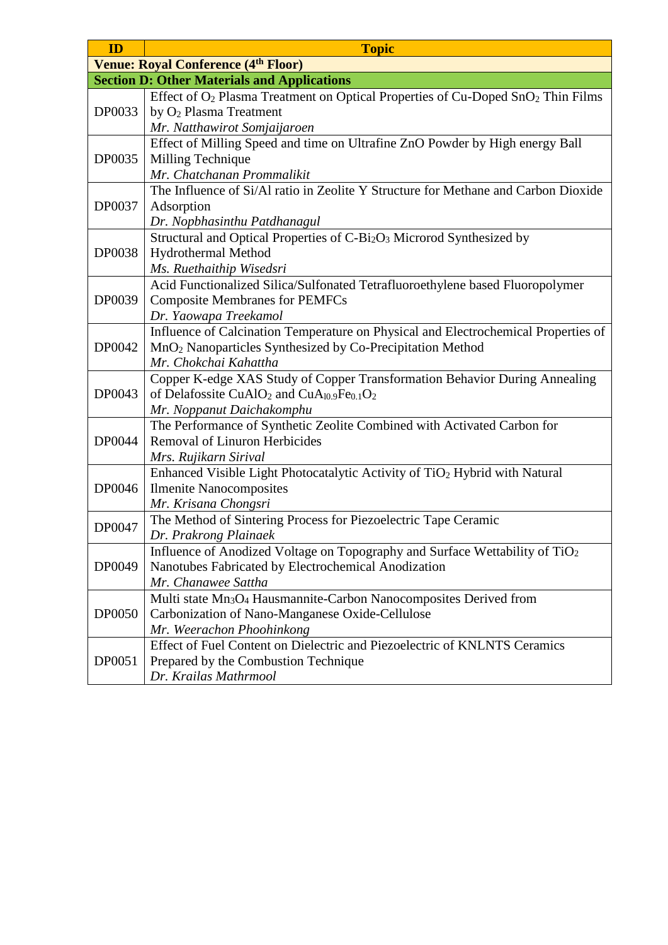| ID            | <b>Topic</b>                                                                                            |
|---------------|---------------------------------------------------------------------------------------------------------|
|               | <b>Venue: Royal Conference (4th Floor)</b>                                                              |
|               | <b>Section D: Other Materials and Applications</b>                                                      |
| DP0033        | Effect of O <sub>2</sub> Plasma Treatment on Optical Properties of Cu-Doped SnO <sub>2</sub> Thin Films |
|               | by O <sub>2</sub> Plasma Treatment                                                                      |
|               | Mr. Natthawirot Somjaijaroen                                                                            |
|               | Effect of Milling Speed and time on Ultrafine ZnO Powder by High energy Ball                            |
| DP0035        | Milling Technique                                                                                       |
|               | Mr. Chatchanan Prommalikit                                                                              |
|               | The Influence of Si/Al ratio in Zeolite Y Structure for Methane and Carbon Dioxide                      |
| DP0037        | Adsorption                                                                                              |
|               | Dr. Nopbhasinthu Patdhanagul                                                                            |
|               | Structural and Optical Properties of C-Bi <sub>2</sub> O <sub>3</sub> Microrod Synthesized by           |
| <b>DP0038</b> | Hydrothermal Method                                                                                     |
|               | Ms. Ruethaithip Wisedsri                                                                                |
|               | Acid Functionalized Silica/Sulfonated Tetrafluoroethylene based Fluoropolymer                           |
| DP0039        | <b>Composite Membranes for PEMFCs</b>                                                                   |
|               | Dr. Yaowapa Treekamol                                                                                   |
|               | Influence of Calcination Temperature on Physical and Electrochemical Properties of                      |
| DP0042        | MnO <sub>2</sub> Nanoparticles Synthesized by Co-Precipitation Method                                   |
|               | Mr. Chokchai Kahattha                                                                                   |
|               | Copper K-edge XAS Study of Copper Transformation Behavior During Annealing                              |
| DP0043        | of Delafossite CuAlO <sub>2</sub> and CuA <sub>l0.9</sub> Fe <sub>0.1</sub> O <sub>2</sub>              |
|               | Mr. Noppanut Daichakomphu                                                                               |
|               | The Performance of Synthetic Zeolite Combined with Activated Carbon for                                 |
| DP0044        | <b>Removal of Linuron Herbicides</b>                                                                    |
|               | Mrs. Rujikarn Sirival                                                                                   |
|               | Enhanced Visible Light Photocatalytic Activity of TiO <sub>2</sub> Hybrid with Natural                  |
| DP0046        | <b>Ilmenite Nanocomposites</b>                                                                          |
|               | Mr. Krisana Chongsri                                                                                    |
| DP0047        | The Method of Sintering Process for Piezoelectric Tape Ceramic                                          |
|               | Dr. Prakrong Plainaek                                                                                   |
|               | Influence of Anodized Voltage on Topography and Surface Wettability of TiO <sub>2</sub>                 |
| DP0049        | Nanotubes Fabricated by Electrochemical Anodization                                                     |
|               | Mr. Chanawee Sattha                                                                                     |
| <b>DP0050</b> | Multi state Mn <sub>3</sub> O <sub>4</sub> Hausmannite-Carbon Nanocomposites Derived from               |
|               | Carbonization of Nano-Manganese Oxide-Cellulose                                                         |
|               | Mr. Weerachon Phoohinkong                                                                               |
|               | Effect of Fuel Content on Dielectric and Piezoelectric of KNLNTS Ceramics                               |
| DP0051        | Prepared by the Combustion Technique                                                                    |
|               | Dr. Krailas Mathrmool                                                                                   |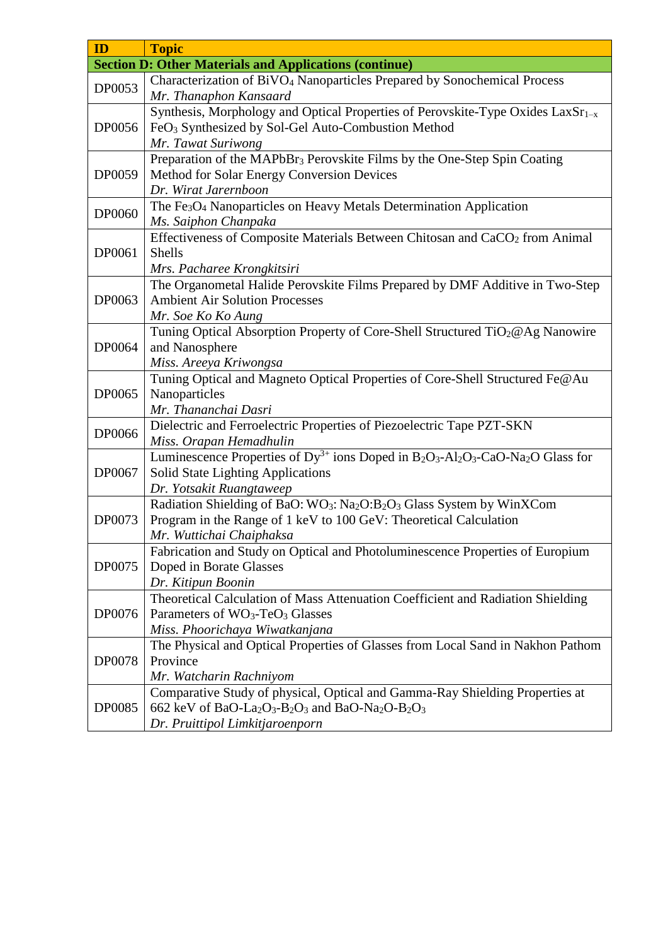| ID            | <b>Topic</b>                                                                                                                                             |
|---------------|----------------------------------------------------------------------------------------------------------------------------------------------------------|
|               | <b>Section D: Other Materials and Applications (continue)</b>                                                                                            |
| DP0053        | Characterization of BiVO <sub>4</sub> Nanoparticles Prepared by Sonochemical Process                                                                     |
|               | Mr. Thanaphon Kansaard                                                                                                                                   |
| DP0056        | Synthesis, Morphology and Optical Properties of Perovskite-Type Oxides LaxSr <sub>1-x</sub>                                                              |
|               | FeO <sub>3</sub> Synthesized by Sol-Gel Auto-Combustion Method                                                                                           |
|               | Mr. Tawat Suriwong                                                                                                                                       |
|               | Preparation of the MAPbBr <sub>3</sub> Perovskite Films by the One-Step Spin Coating                                                                     |
| DP0059        | Method for Solar Energy Conversion Devices                                                                                                               |
|               | Dr. Wirat Jarernboon                                                                                                                                     |
| DP0060        | The Fe <sub>3</sub> O <sub>4</sub> Nanoparticles on Heavy Metals Determination Application                                                               |
|               | Ms. Saiphon Chanpaka                                                                                                                                     |
|               | Effectiveness of Composite Materials Between Chitosan and CaCO <sub>2</sub> from Animal                                                                  |
| DP0061        | Shells                                                                                                                                                   |
|               | Mrs. Pacharee Krongkitsiri                                                                                                                               |
|               | The Organometal Halide Perovskite Films Prepared by DMF Additive in Two-Step                                                                             |
| DP0063        | <b>Ambient Air Solution Processes</b>                                                                                                                    |
|               | Mr. Soe Ko Ko Aung                                                                                                                                       |
|               | Tuning Optical Absorption Property of Core-Shell Structured TiO <sub>2</sub> @Ag Nanowire                                                                |
| DP0064        | and Nanosphere                                                                                                                                           |
|               | Miss. Areeya Kriwongsa                                                                                                                                   |
|               | Tuning Optical and Magneto Optical Properties of Core-Shell Structured Fe@Au                                                                             |
| DP0065        | Nanoparticles                                                                                                                                            |
|               | Mr. Thananchai Dasri                                                                                                                                     |
| DP0066        | Dielectric and Ferroelectric Properties of Piezoelectric Tape PZT-SKN                                                                                    |
|               | Miss. Orapan Hemadhulin                                                                                                                                  |
|               | Luminescence Properties of Dy <sup>3+</sup> ions Doped in B <sub>2</sub> O <sub>3</sub> -Al <sub>2</sub> O <sub>3</sub> -CaO-Na <sub>2</sub> O Glass for |
| DP0067        | <b>Solid State Lighting Applications</b>                                                                                                                 |
|               | Dr. Yotsakit Ruangtaweep                                                                                                                                 |
|               | Radiation Shielding of BaO: WO <sub>3</sub> : Na <sub>2</sub> O:B <sub>2</sub> O <sub>3</sub> Glass System by WinXCom                                    |
| DP0073        | Program in the Range of 1 keV to 100 GeV: Theoretical Calculation                                                                                        |
|               | Mr. Wuttichai Chaiphaksa                                                                                                                                 |
|               | Fabrication and Study on Optical and Photoluminescence Properties of Europium                                                                            |
| DP0075        | Doped in Borate Glasses                                                                                                                                  |
|               | Dr. Kitipun Boonin                                                                                                                                       |
|               | Theoretical Calculation of Mass Attenuation Coefficient and Radiation Shielding                                                                          |
| DP0076        | Parameters of WO <sub>3</sub> -TeO <sub>3</sub> Glasses                                                                                                  |
|               | Miss. Phoorichaya Wiwatkanjana                                                                                                                           |
| <b>DP0078</b> | The Physical and Optical Properties of Glasses from Local Sand in Nakhon Pathom                                                                          |
|               | Province                                                                                                                                                 |
|               | Mr. Watcharin Rachniyom                                                                                                                                  |
|               | Comparative Study of physical, Optical and Gamma-Ray Shielding Properties at                                                                             |
| DP0085        | 662 keV of BaO-La <sub>2</sub> O <sub>3</sub> -B <sub>2</sub> O <sub>3</sub> and BaO-Na <sub>2</sub> O-B <sub>2</sub> O <sub>3</sub>                     |
|               | Dr. Pruittipol Limkitjaroenporn                                                                                                                          |